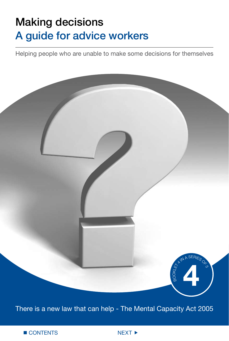# Making decisions A guide for advice workers

Helping people who are unable to make some decisions for themselves



There is a new law that can help - The Mental Capacity Act 2005

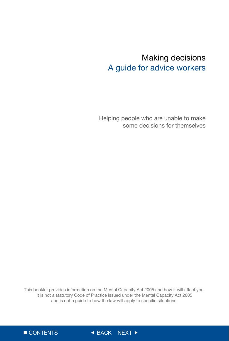## Making decisions A guide for advice workers

Helping people who are unable to make some decisions for themselves

This booklet provides information on the Mental Capacity Act 2005 and how it will affect you. It is not a statutory Code of Practice issued under the Mental Capacity Act 2005 and is not a guide to how the law will apply to specific situations.



CONTENTS BACK NEXT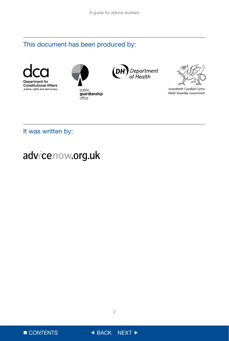## This document has been produced by:









Llywodraeth Cynulliad Cymru Welsh Assembly Government

## It was written by:

## advicenow.org.uk



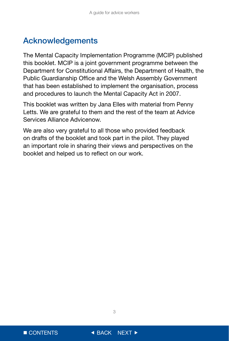## Acknowledgements

The Mental Capacity Implementation Programme (MCIP) published this booklet. MCIP is a joint government programme between the Department for Constitutional Affairs, the Department of Health, the Public Guardianship Office and the Welsh Assembly Government that has been established to implement the organisation, process and procedures to launch the Mental Capacity Act in 2007.

This booklet was written by Jana Elles with material from Penny Letts. We are grateful to them and the rest of the team at Advice Services Alliance Advicenow.

We are also very grateful to all those who provided feedback on drafts of the booklet and took part in the pilot. They played an important role in sharing their views and perspectives on the booklet and helped us to reflect on our work.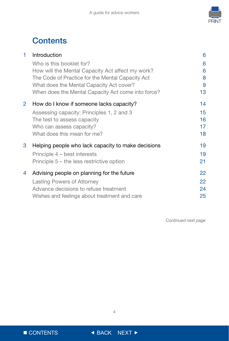

## **Contents**

| 1              | Introduction                                                                                                                                                                                                                       | 6                      |
|----------------|------------------------------------------------------------------------------------------------------------------------------------------------------------------------------------------------------------------------------------|------------------------|
|                | Who is this booklet for?<br>How will the Mental Capacity Act affect my work?<br>The Code of Practice for the Mental Capacity Act<br>What does the Mental Capacity Act cover?<br>When does the Mental Capacity Act come into force? | 6<br>6<br>8<br>9<br>13 |
| $\overline{2}$ | How do I know if someone lacks capacity?                                                                                                                                                                                           | 14                     |
|                | Assessing capacity: Principles 1, 2 and 3<br>The test to assess capacity<br>Who can assess capacity?<br>What does this mean for me?                                                                                                | 15<br>16<br>17<br>18   |
| 3              | Helping people who lack capacity to make decisions                                                                                                                                                                                 | 19                     |
|                | Principle 4 – best interests<br>Principle $5$ – the less restrictive option                                                                                                                                                        | 19<br>21               |
| 4              | Advising people on planning for the future                                                                                                                                                                                         | 22                     |
|                | Lasting Powers of Attorney                                                                                                                                                                                                         | 22                     |
|                | Advance decisions to refuse treatment                                                                                                                                                                                              | 24                     |
|                | Wishes and feelings about treatment and care                                                                                                                                                                                       | 25                     |

*Continued next page*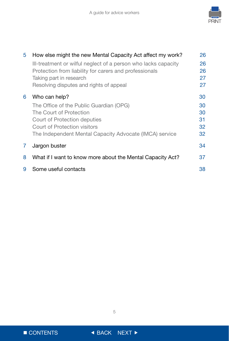

| 5 | How else might the new Mental Capacity Act affect my work?     | 26 |
|---|----------------------------------------------------------------|----|
|   | Ill-treatment or wilful neglect of a person who lacks capacity | 26 |
|   | Protection from liability for carers and professionals         | 26 |
|   | Taking part in research                                        | 27 |
|   | Resolving disputes and rights of appeal                        | 27 |
| 6 | Who can help?                                                  | 30 |
|   | The Office of the Public Guardian (OPG)                        | 30 |
|   | The Court of Protection                                        | 30 |
|   | Court of Protection deputies                                   | 31 |
|   | Court of Protection visitors                                   | 32 |
|   | The Independent Mental Capacity Advocate (IMCA) service        | 32 |
| 7 | Jargon buster                                                  | 34 |
| 8 | What if I want to know more about the Mental Capacity Act?     | 37 |
| 9 | Some useful contacts                                           | 38 |



 $\blacksquare$  CONTENTS  $\blacksquare$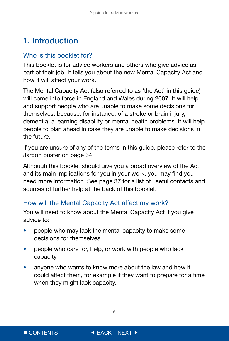## <span id="page-6-0"></span>1. Introduction

### Who is this booklet for?

This booklet is for advice workers and others who give advice as part of their job. It tells you about the new Mental Capacity Act and how it will affect your work.

The Mental Capacity Act (also referred to as 'the Act' in this guide) will come into force in England and Wales during 2007. It will help and support people who are unable to make some decisions for themselves, because, for instance, of a stroke or brain injury, dementia, a learning disability or mental health problems. It will help people to plan ahead in case they are unable to make decisions in the future.

If you are unsure of any of the terms in this guide, please refer to the Jargon buster on page 34.

Although this booklet should give you a broad overview of the Act and its main implications for you in your work, you may find you need more information. See page 37 for a list of useful contacts and sources of further help at the back of this booklet.

## How will the Mental Capacity Act affect my work?

You will need to know about the Mental Capacity Act if you give advice to:

- people who may lack the mental capacity to make some decisions for themselves
- people who care for, help, or work with people who lack capacity
- anyone who wants to know more about the law and how it could affect them, for example if they want to prepare for a time when they might lack capacity.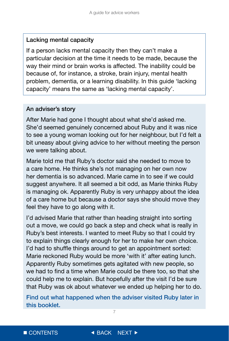#### Lacking mental capacity

If a person lacks mental capacity then they can't make a particular decision at the time it needs to be made, because the way their mind or brain works is affected. The inability could be because of, for instance, a stroke, brain injury, mental health problem, dementia, or a learning disability. In this guide 'lacking capacity' means the same as 'lacking mental capacity'.

#### An adviser's story

After Marie had gone I thought about what she'd asked me. She'd seemed genuinely concerned about Ruby and it was nice to see a young woman looking out for her neighbour, but I'd felt a bit uneasy about giving advice to her without meeting the person we were talking about.

Marie told me that Ruby's doctor said she needed to move to a care home. He thinks she's not managing on her own now her dementia is so advanced. Marie came in to see if we could suggest anywhere. It all seemed a bit odd, as Marie thinks Ruby is managing ok. Apparently Ruby is very unhappy about the idea of a care home but because a doctor says she should move they feel they have to go along with it.

I'd advised Marie that rather than heading straight into sorting out a move, we could go back a step and check what is really in Ruby's best interests. I wanted to meet Ruby so that I could try to explain things clearly enough for her to make her own choice. I'd had to shuffle things around to get an appointment sorted: Marie reckoned Ruby would be more 'with it' after eating lunch. Apparently Ruby sometimes gets agitated with new people, so we had to find a time when Marie could be there too, so that she could help me to explain. But hopefully after the visit I'd be sure that Ruby was ok about whatever we ended up helping her to do.

 $\overline{7}$ Find out what happened when the adviser visited Ruby later in this booklet.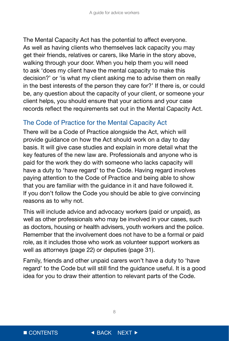<span id="page-8-0"></span>The Mental Capacity Act has the potential to affect everyone. As well as having clients who themselves lack capacity you may get their friends, relatives or carers, like Marie in the story above, walking through your door. When you help them you will need to ask 'does my client have the mental capacity to make this decision?' or 'is what my client asking me to advise them on really in the best interests of the person they care for?' If there is, or could be, any question about the capacity of your client, or someone your client helps, you should ensure that your actions and your case records reflect the requirements set out in the Mental Capacity Act.

### The Code of Practice for the Mental Capacity Act

There will be a Code of Practice alongside the Act, which will provide guidance on how the Act should work on a day to day basis. It will give case studies and explain in more detail what the key features of the new law are. Professionals and anyone who is paid for the work they do with someone who lacks capacity will have a duty to 'have regard' to the Code. Having regard involves paying attention to the Code of Practice and being able to show that you are familiar with the guidance in it and have followed it. If you don't follow the Code you should be able to give convincing reasons as to why not.

This will include advice and advocacy workers (paid or unpaid), as well as other professionals who may be involved in your cases, such as doctors, housing or health advisers, youth workers and the police. Remember that the involvement does not have to be a formal or paid role, as it includes those who work as volunteer support workers as well as attorneys (page 22) or deputies (page 31).

Family, friends and other unpaid carers won't have a duty to 'have regard' to the Code but will still find the guidance useful. It is a good idea for you to draw their attention to relevant parts of the Code.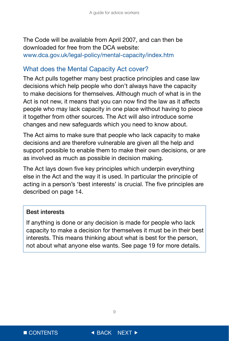<span id="page-9-0"></span>The Code will be available from April 2007, and can then be downloaded for free from the DCA website: www.dca.gov.uk/legal-policy/mental-capacity/index.htm

#### What does the Mental Capacity Act cover?

The Act pulls together many best practice principles and case law decisions which help people who don't always have the capacity to make decisions for themselves. Although much of what is in the Act is not new, it means that you can now find the law as it affects people who may lack capacity in one place without having to piece it together from other sources. The Act will also introduce some changes and new safeguards which you need to know about.

The Act aims to make sure that people who lack capacity to make decisions and are therefore vulnerable are given all the help and support possible to enable them to make their own decisions, or are as involved as much as possible in decision making.

The Act lays down five key principles which underpin everything else in the Act and the way it is used. In particular the principle of acting in a person's 'best interests' is crucial. The five principles are described on page 14.

#### Best interests

If anything is done or any decision is made for people who lack capacity to make a decision for themselves it must be in their best interests. This means thinking about what is best for the person, not about what anyone else wants. See page 19 for more details.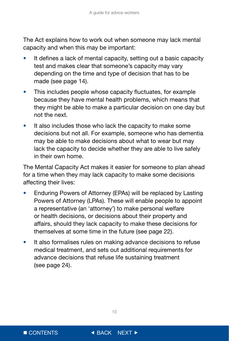The Act explains how to work out when someone may lack mental capacity and when this may be important:

- It defines a lack of mental capacity, setting out a basic capacity test and makes clear that someone's capacity may vary depending on the time and type of decision that has to be made (see page 14).
- This includes people whose capacity fluctuates, for example because they have mental health problems, which means that they might be able to make a particular decision on one day but not the next.
- It also includes those who lack the capacity to make some decisions but not all. For example, someone who has dementia may be able to make decisions about what to wear but may lack the capacity to decide whether they are able to live safely in their own home.

The Mental Capacity Act makes it easier for someone to plan ahead for a time when they may lack capacity to make some decisions affecting their lives:

- Enduring Powers of Attorney (EPAs) will be replaced by Lasting Powers of Attorney (LPAs). These will enable people to appoint a representative (an 'attorney') to make personal welfare or health decisions, or decisions about their property and affairs, should they lack capacity to make these decisions for themselves at some time in the future (see page 22).
- It also formalises rules on making advance decisions to refuse medical treatment, and sets out additional requirements for advance decisions that refuse life sustaining treatment (see page 24).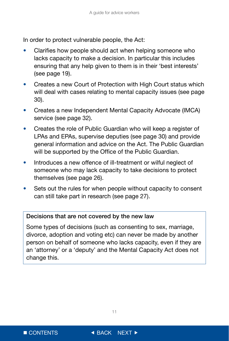In order to protect vulnerable people, the Act:

- Clarifies how people should act when helping someone who lacks capacity to make a decision. In particular this includes ensuring that any help given to them is in their 'best interests' (see page 19).
- Creates a new Court of Protection with High Court status which will deal with cases relating to mental capacity issues (see page) 30).
- Creates a new Independent Mental Capacity Advocate (IMCA) service (see page 32).
- Creates the role of Public Guardian who will keep a register of LPAs and EPAs, supervise deputies (see page 30) and provide general information and advice on the Act. The Public Guardian will be supported by the Office of the Public Guardian.
- Introduces a new offence of ill-treatment or wilful neglect of someone who may lack capacity to take decisions to protect themselves (see page 26).
- Sets out the rules for when people without capacity to consent can still take part in research (see page 27).

#### Decisions that are not covered by the new law

Some types of decisions (such as consenting to sex, marriage, divorce, adoption and voting etc) can never be made by another person on behalf of someone who lacks capacity, even if they are an 'attorney' or a 'deputy' and the Mental Capacity Act does not change this.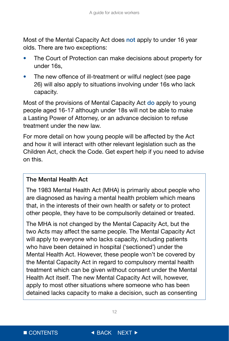Most of the Mental Capacity Act does not apply to under 16 year olds. There are two exceptions:

- The Court of Protection can make decisions about property for under 16s,
- The new offence of ill-treatment or wilful neglect (see page 26) will also apply to situations involving under 16s who lack capacity.

Most of the provisions of Mental Capacity Act do apply to young people aged 16-17 although under 18s will not be able to make a Lasting Power of Attorney, or an advance decision to refuse treatment under the new law.

For more detail on how young people will be affected by the Act and how it will interact with other relevant legislation such as the Children Act, check the Code. Get expert help if you need to advise on this.

#### The Mental Health Act

The 1983 Mental Health Act (MHA) is primarily about people who are diagnosed as having a mental health problem which means that, in the interests of their own health or safety or to protect other people, they have to be compulsorily detained or treated.

The MHA is not changed by the Mental Capacity Act, but the two Acts may affect the same people. The Mental Capacity Act will apply to everyone who lacks capacity, including patients who have been detained in hospital ('sectioned') under the Mental Health Act. However, these people won't be covered by the Mental Capacity Act in regard to compulsory mental health treatment which can be given without consent under the Mental Health Act itself. The new Mental Capacity Act will, however, apply to most other situations where someone who has been detained lacks capacity to make a decision, such as consenting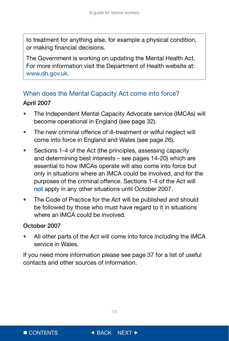<span id="page-13-0"></span>to treatment for anything else, for example a physical condition, or making financial decisions.

The Government is working on updating the Mental Health Act. For more information visit the Department of Health website at: www.dh.gov.uk.

## When does the Mental Capacity Act come into force? April 2007

- The Independent Mental Capacity Advocate service (IMCAs) will become operational in England (see page 32).
- The new criminal offence of ill-treatment or wilful neglect will come into force in England and Wales (see page 26).
- Sections 1-4 of the Act (the principles, assessing capacity and determining best interests – see pages 14-20) which are essential to how IMCAs operate will also come into force but only in situations where an IMCA could be involved, and for the purposes of the criminal offence. Sections 1-4 of the Act will not apply in any other situations until October 2007.
- The Code of Practice for the Act will be published and should be followed by those who must have regard to it in situations where an IMCA could be involved.

#### October 2007

• All other parts of the Act will come into force including the IMCA service in Wales.

If you need more information please see page 37 for a list of useful contacts and other sources of information.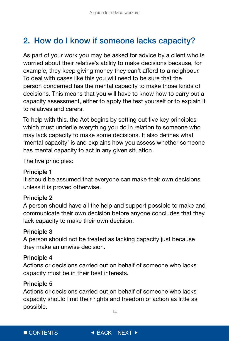## <span id="page-14-0"></span>2. How do I know if someone lacks capacity?

As part of your work you may be asked for advice by a client who is worried about their relative's ability to make decisions because, for example, they keep giving money they can't afford to a neighbour. To deal with cases like this you will need to be sure that the person concerned has the mental capacity to make those kinds of decisions. This means that you will have to know how to carry out a capacity assessment, either to apply the test yourself or to explain it to relatives and carers.

To help with this, the Act begins by setting out five key principles which must underlie everything you do in relation to someone who may lack capacity to make some decisions. It also defines what 'mental capacity' is and explains how you assess whether someone has mental capacity to act in any given situation.

The five principles:

#### Principle 1

It should be assumed that everyone can make their own decisions unless it is proved otherwise.

#### Principle 2

A person should have all the help and support possible to make and communicate their own decision before anyone concludes that they lack capacity to make their own decision.

#### Principle 3

A person should not be treated as lacking capacity just because they make an unwise decision.

#### Principle 4

Actions or decisions carried out on behalf of someone who lacks capacity must be in their best interests.

#### Principle 5

Actions or decisions carried out on behalf of someone who lacks capacity should limit their rights and freedom of action as little as possible.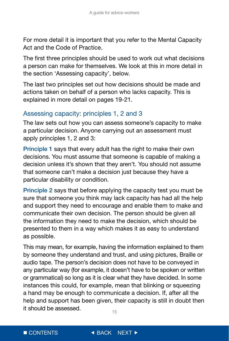<span id="page-15-0"></span>For more detail it is important that you refer to the Mental Capacity Act and the Code of Practice.

The first three principles should be used to work out what decisions a person can make for themselves. We look at this in more detail in the section 'Assessing capacity', below.

The last two principles set out how decisions should be made and actions taken on behalf of a person who lacks capacity. This is explained in more detail on pages 19-21.

### Assessing capacity: principles 1, 2 and 3

The law sets out how you can assess someone's capacity to make a particular decision. Anyone carrying out an assessment must apply principles 1, 2 and 3:

Principle 1 says that every adult has the right to make their own decisions. You must assume that someone is capable of making a decision unless it's shown that they aren't. You should not assume that someone can't make a decision just because they have a particular disability or condition.

Principle 2 says that before applying the capacity test you must be sure that someone you think may lack capacity has had all the help and support they need to encourage and enable them to make and communicate their own decision. The person should be given all the information they need to make the decision, which should be presented to them in a way which makes it as easy to understand as possible.

This may mean, for example, having the information explained to them by someone they understand and trust, and using pictures, Braille or audio tape. The person's decision does not have to be conveyed in any particular way (for example, it doesn't have to be spoken or written or grammatical) so long as it is clear what they have decided. In some instances this could, for example, mean that blinking or squeezing a hand may be enough to communicate a decision. If, after all the help and support has been given, their capacity is still in doubt then it should be assessed.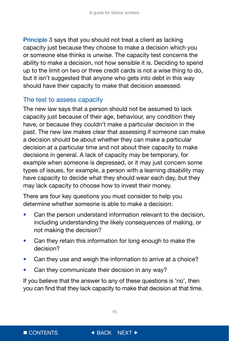<span id="page-16-0"></span>Principle 3 says that you should not treat a client as lacking capacity just because they choose to make a decision which you or someone else thinks is unwise. The capacity test concerns the ability to make a decision, not how sensible it is. Deciding to spend up to the limit on two or three credit cards is not a wise thing to do, but it isn't suggested that anyone who gets into debt in this way should have their capacity to make that decision assessed.

#### The test to assess capacity

The new law says that a person should not be assumed to lack capacity just because of their age, behaviour, any condition they have, or because they couldn't make a particular decision in the past. The new law makes clear that assessing if someone can make a decision should be about whether they can make a particular decision at a particular time and not about their capacity to make decisions in general. A lack of capacity may be temporary, for example when someone is depressed, or it may just concern some types of issues, for example, a person with a learning disability may have capacity to decide what they should wear each day, but they may lack capacity to choose how to invest their money.

There are four key questions you must consider to help you determine whether someone is able to make a decision:

- Can the person understand information relevant to the decision, including understanding the likely consequences of making, or not making the decision?
- Can they retain this information for long enough to make the decision?
- Can they use and weigh the information to arrive at a choice?
- Can they communicate their decision in any way?

If you believe that the answer to any of these questions is 'no', then you can find that they lack capacity to make that decision at that time.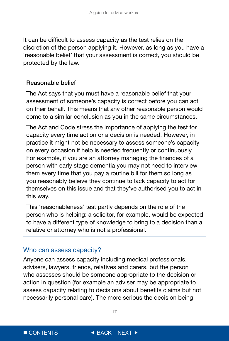<span id="page-17-0"></span>It can be difficult to assess capacity as the test relies on the discretion of the person applying it. However, as long as you have a 'reasonable belief' that your assessment is correct, you should be protected by the law.

#### Reasonable belief

The Act says that you must have a reasonable belief that your assessment of someone's capacity is correct before you can act on their behalf. This means that any other reasonable person would come to a similar conclusion as you in the same circumstances.

The Act and Code stress the importance of applying the test for capacity every time action or a decision is needed. However, in practice it might not be necessary to assess someone's capacity on every occasion if help is needed frequently or continuously. For example, if you are an attorney managing the finances of a person with early stage dementia you may not need to interview them every time that you pay a routine bill for them so long as you reasonably believe they continue to lack capacity to act for themselves on this issue and that they've authorised you to act in this way.

This 'reasonableness' test partly depends on the role of the person who is helping: a solicitor, for example, would be expected to have a different type of knowledge to bring to a decision than a relative or attorney who is not a professional.

#### Who can assess capacity?

Anyone can assess capacity including medical professionals, advisers, lawyers, friends, relatives and carers, but the person who assesses should be someone appropriate to the decision or action in question (for example an adviser may be appropriate to assess capacity relating to decisions about benefits claims but not necessarily personal care). The more serious the decision being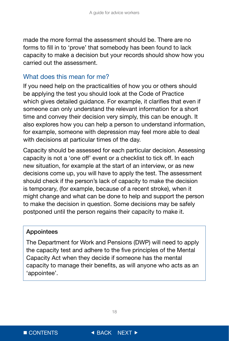<span id="page-18-0"></span>made the more formal the assessment should be. There are no forms to fill in to 'prove' that somebody has been found to lack capacity to make a decision but your records should show how you carried out the assessment.

#### What does this mean for me?

If you need help on the practicalities of how you or others should be applying the test you should look at the Code of Practice which gives detailed guidance. For example, it clarifies that even if someone can only understand the relevant information for a short time and convey their decision very simply, this can be enough. It also explores how you can help a person to understand information, for example, someone with depression may feel more able to deal with decisions at particular times of the day.

Capacity should be assessed for each particular decision. Assessing capacity is not a 'one off' event or a checklist to tick off. In each new situation, for example at the start of an interview, or as new decisions come up, you will have to apply the test. The assessment should check if the person's lack of capacity to make the decision is temporary, (for example, because of a recent stroke), when it might change and what can be done to help and support the person to make the decision in question. Some decisions may be safely postponed until the person regains their capacity to make it.

#### Appointees

The Department for Work and Pensions (DWP) will need to apply the capacity test and adhere to the five principles of the Mental Capacity Act when they decide if someone has the mental capacity to manage their benefits, as will anyone who acts as an 'appointee'.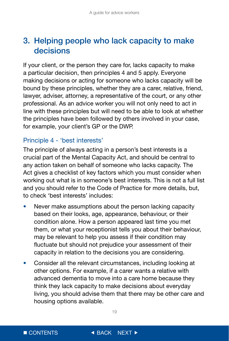## <span id="page-19-0"></span>3. Helping people who lack capacity to make decisions

If your client, or the person they care for, lacks capacity to make a particular decision, then principles 4 and 5 apply. Everyone making decisions or acting for someone who lacks capacity will be bound by these principles, whether they are a carer, relative, friend, lawyer, adviser, attorney, a representative of the court, or any other professional. As an advice worker you will not only need to act in line with these principles but will need to be able to look at whether the principles have been followed by others involved in your case, for example, your client's GP or the DWP.

## Principle 4 - 'best interests'

The principle of always acting in a person's best interests is a crucial part of the Mental Capacity Act, and should be central to any action taken on behalf of someone who lacks capacity. The Act gives a checklist of key factors which you must consider when working out what is in someone's best interests. This is not a full list and you should refer to the Code of Practice for more details, but, to check 'best interests' includes:

- Never make assumptions about the person lacking capacity based on their looks, age, appearance, behaviour, or their condition alone. How a person appeared last time you met them, or what your receptionist tells you about their behaviour, may be relevant to help you assess if their condition may fluctuate but should not prejudice your assessment of their capacity in relation to the decisions you are considering.
- Consider all the relevant circumstances, including looking at other options. For example, if a carer wants a relative with advanced dementia to move into a care home because they think they lack capacity to make decisions about everyday living, you should advise them that there may be other care and housing options available.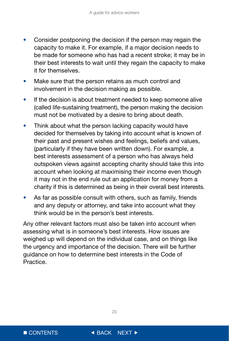- Consider postponing the decision if the person may regain the capacity to make it. For example, if a major decision needs to be made for someone who has had a recent stroke; it may be in their best interests to wait until they regain the capacity to make it for themselves.
- Make sure that the person retains as much control and involvement in the decision making as possible.
- If the decision is about treatment needed to keep someone alive (called life-sustaining treatment), the person making the decision must not be motivated by a desire to bring about death.
- Think about what the person lacking capacity would have decided for themselves by taking into account what is known of their past and present wishes and feelings, beliefs and values, (particularly if they have been written down). For example, a best interests assessment of a person who has always held outspoken views against accepting charity should take this into account when looking at maximising their income even though it may not in the end rule out an application for money from a charity if this is determined as being in their overall best interests.
- As far as possible consult with others, such as family, friends and any deputy or attorney, and take into account what they think would be in the person's best interests.

Any other relevant factors must also be taken into account when assessing what is in someone's best interests. How issues are weighed up will depend on the individual case, and on things like the urgency and importance of the decision. There will be further guidance on how to determine best interests in the Code of Practice.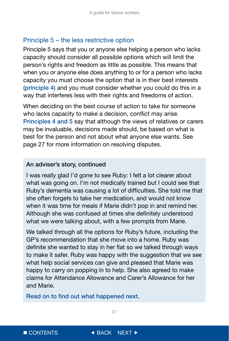#### <span id="page-21-0"></span>Principle 5 – the less restrictive option

Principle 5 says that you or anyone else helping a person who lacks capacity should consider all possible options which will limit the person's rights and freedom as little as possible. This means that when you or anyone else does anything to or for a person who lacks capacity you must choose the option that is in their best interests (principle 4) and you must consider whether you could do this in a way that interferes less with their rights and freedoms of action.

When deciding on the best course of action to take for someone who lacks capacity to make a decision, conflict may arise. Principles 4 and 5 say that although the views of relatives or carers may be invaluable, decisions made should, be based on what is best for the person and not about what anyone else wants. See page 27 for more information on resolving disputes.

#### An adviser's story, continued

I was really glad I'd gone to see Ruby: I felt a lot clearer about what was going on. I'm not medically trained but I could see that Ruby's dementia was causing a lot of difficulties. She told me that she often forgets to take her medication, and would not know when it was time for meals if Marie didn't pop in and remind her. Although she was confused at times she definitely understood what we were talking about, with a few prompts from Marie.

We talked through all the options for Ruby's future, including the GP's recommendation that she move into a home. Ruby was definite she wanted to stay in her flat so we talked through ways to make it safer. Ruby was happy with the suggestion that we see what help social services can give and pleased that Marie was happy to carry on popping in to help. She also agreed to make claims for Attendance Allowance and Carer's Allowance for her and Marie.

Read on to find out what happened next.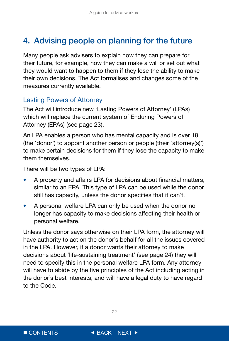## <span id="page-22-0"></span>4. Advising people on planning for the future

Many people ask advisers to explain how they can prepare for their future, for example, how they can make a will or set out what they would want to happen to them if they lose the ability to make their own decisions. The Act formalises and changes some of the measures currently available.

### Lasting Powers of Attorney

The Act will introduce new 'Lasting Powers of Attorney' (LPAs) which will replace the current system of Enduring Powers of Attorney (EPAs) (see page 23).

An LPA enables a person who has mental capacity and is over 18 (the 'donor') to appoint another person or people (their 'attorney(s)') to make certain decisions for them if they lose the capacity to make them themselves.

There will be two types of LPA:

- A property and affairs LPA for decisions about financial matters, similar to an EPA. This type of LPA can be used while the donor still has capacity, unless the donor specifies that it can't.
- A personal welfare LPA can only be used when the donor no longer has capacity to make decisions affecting their health or personal welfare.

Unless the donor says otherwise on their LPA form, the attorney will have authority to act on the donor's behalf for all the issues covered in the LPA. However, if a donor wants their attorney to make decisions about 'life-sustaining treatment' (see page 24) they will need to specify this in the personal welfare LPA form. Any attorney will have to abide by the five principles of the Act including acting in the donor's best interests, and will have a legal duty to have regard to the Code.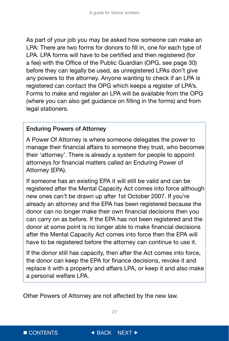As part of your job you may be asked how someone can make an LPA: There are two forms for donors to fill in, one for each type of LPA. LPA forms will have to be certified and then registered (for a fee) with the Office of the Public Guardian (OPG, see page 30) before they can legally be used, as unregistered LPAs don't give any powers to the attorney. Anyone wanting to check if an LPA is registered can contact the OPG which keeps a register of LPA's. Forms to make and register an LPA will be available from the OPG (where you can also get guidance on filling in the forms) and from legal stationers.

### Enduring Powers of Attorney

A Power Of Attorney is where someone delegates the power to manage their financial affairs to someone they trust, who becomes their 'attorney'. There is already a system for people to appoint attorneys for financial matters called an Enduring Power of Attorney (EPA).

If someone has an existing EPA it will still be valid and can be registered after the Mental Capacity Act comes into force although new ones can't be drawn up after 1st October 2007. If you're already an attorney and the EPA has been registered because the donor can no longer make their own financial decisions then you can carry on as before. If the EPA has not been registered and the donor at some point is no longer able to make financial decisions after the Mental Capacity Act comes into force then the EPA will have to be registered before the attorney can continue to use it.

If the donor still has capacity, then after the Act comes into force, the donor can keep the EPA for finance decisions, revoke it and replace it with a property and affairs LPA, or keep it and also make a personal welfare LPA.

Other Powers of Attorney are not affected by the new law.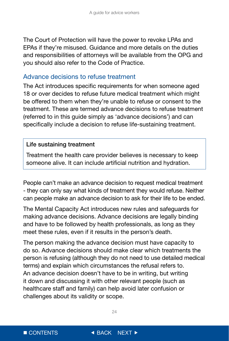<span id="page-24-0"></span>The Court of Protection will have the power to revoke LPAs and EPAs if they're misused. Guidance and more details on the duties and responsibilities of attorneys will be available from the OPG and you should also refer to the Code of Practice.

#### Advance decisions to refuse treatment

The Act introduces specific requirements for when someone aged 18 or over decides to refuse future medical treatment which might be offered to them when they're unable to refuse or consent to the treatment. These are termed advance decisions to refuse treatment (referred to in this guide simply as 'advance decisions') and can specifically include a decision to refuse life-sustaining treatment.

#### Life sustaining treatment

Treatment the health care provider believes is necessary to keep someone alive. It can include artificial nutrition and hydration.

People can't make an advance decision to request medical treatment - they can only say what kinds of treatment they would refuse. Neither can people make an advance decision to ask for their life to be ended.

The Mental Capacity Act introduces new rules and safeguards for making advance decisions. Advance decisions are legally binding and have to be followed by health professionals, as long as they meet these rules, even if it results in the person's death.

The person making the advance decision must have capacity to do so. Advance decisions should make clear which treatments the person is refusing (although they do not need to use detailed medical terms) and explain which circumstances the refusal refers to. An advance decision doesn't have to be in writing, but writing it down and discussing it with other relevant people (such as healthcare staff and family) can help avoid later confusion or challenges about its validity or scope.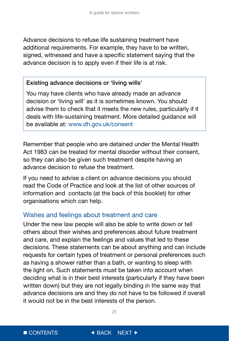<span id="page-25-0"></span>Advance decisions to refuse life sustaining treatment have additional requirements. For example, they have to be written, signed, witnessed and have a specific statement saying that the advance decision is to apply even if their life is at risk.

#### Existing advance decisions or 'living wills'

You may have clients who have already made an advance decision or 'living will' as it is sometimes known. You should advise them to check that it meets the new rules, particularly if it deals with life-sustaining treatment. More detailed guidance will be available at: www.dh.gov.uk/consent

Remember that people who are detained under the Mental Health Act 1983 can be treated for mental disorder without their consent, so they can also be given such treatment despite having an advance decision to refuse the treatment.

If you need to advise a client on advance decisions you should read the Code of Practice and look at the list of other sources of information and contacts (at the back of this booklet) for other organisations which can help.

#### Wishes and feelings about treatment and care

Under the new law people will also be able to write down or tell others about their wishes and preferences about future treatment and care, and explain the feelings and values that led to these decisions. These statements can be about anything and can include requests for certain types of treatment or personal preferences such as having a shower rather than a bath, or wanting to sleep with the light on. Such statements must be taken into account when deciding what is in their best interests (particularly if they have been written down) but they are not legally binding in the same way that advance decisions are and they do not have to be followed if overall it would not be in the best interests of the person.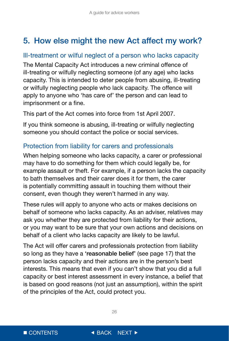## <span id="page-26-0"></span>5. How else might the new Act affect my work?

### Ill-treatment or wilful neglect of a person who lacks capacity

The Mental Capacity Act introduces a new criminal offence of ill-treating or wilfully neglecting someone (of any age) who lacks capacity. This is intended to deter people from abusing, ill-treating or wilfully neglecting people who lack capacity. The offence will apply to anyone who 'has care of' the person and can lead to imprisonment or a fine.

This part of the Act comes into force from 1st April 2007.

If you think someone is abusing, ill-treating or wilfully neglecting someone you should contact the police or social services.

## Protection from liability for carers and professionals

When helping someone who lacks capacity, a carer or professional may have to do something for them which could legally be, for example assault or theft. For example, if a person lacks the capacity to bath themselves and their carer does it for them, the carer is potentially committing assault in touching them without their consent, even though they weren't harmed in any way.

These rules will apply to anyone who acts or makes decisions on behalf of someone who lacks capacity. As an adviser, relatives may ask you whether they are protected from liability for their actions, or you may want to be sure that your own actions and decisions on behalf of a client who lacks capacity are likely to be lawful.

The Act will offer carers and professionals protection from liability so long as they have a 'reasonable belief' (see page 17) that the person lacks capacity and their actions are in the person's best interests. This means that even if you can't show that you did a full capacity or best interest assessment in every instance, a belief that is based on good reasons (not just an assumption), within the spirit of the principles of the Act, could protect you.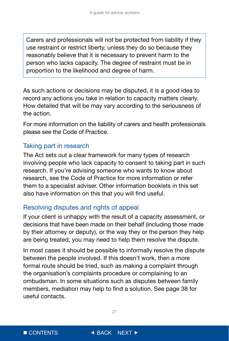<span id="page-27-0"></span>Carers and professionals will not be protected from liability if they use restraint or restrict liberty, unless they do so because they reasonably believe that it is necessary to prevent harm to the person who lacks capacity. The degree of restraint must be in proportion to the likelihood and degree of harm.

As such actions or decisions may be disputed, it is a good idea to record any actions you take in relation to capacity matters clearly. How detailed that will be may vary according to the seriousness of the action.

For more information on the liability of carers and health professionals please see the Code of Practice.

## Taking part in research

The Act sets out a clear framework for many types of research involving people who lack capacity to consent to taking part in such research. If you're advising someone who wants to know about research, see the Code of Practice for more information or refer them to a specialist adviser. Other information booklets in this set also have information on this that you will find useful.

### Resolving disputes and rights of appeal

If your client is unhappy with the result of a capacity assessment, or decisions that have been made on their behalf (including those made by their attorney or deputy), or the way they or the person they help are being treated, you may need to help them resolve the dispute.

In most cases it should be possible to informally resolve the dispute between the people involved. If this doesn't work, then a more formal route should be tried, such as making a complaint through the organisation's complaints procedure or complaining to an ombudsman. In some situations such as disputes between family members, mediation may help to find a solution. See page 38 for useful contacts.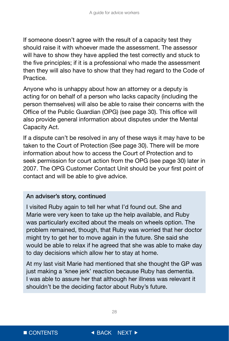If someone doesn't agree with the result of a capacity test they should raise it with whoever made the assessment. The assessor will have to show they have applied the test correctly and stuck to the five principles; if it is a professional who made the assessment then they will also have to show that they had regard to the Code of Practice.

Anyone who is unhappy about how an attorney or a deputy is acting for on behalf of a person who lacks capacity (including the person themselves) will also be able to raise their concerns with the Office of the Public Guardian (OPG) (see page 30). This office will also provide general information about disputes under the Mental Capacity Act.

If a dispute can't be resolved in any of these ways it may have to be taken to the Court of Protection (See page 30). There will be more information about how to access the Court of Protection and to seek permission for court action from the OPG (see page 30) later in 2007. The OPG Customer Contact Unit should be your first point of contact and will be able to give advice.

#### An adviser's story, continued

I visited Ruby again to tell her what I'd found out. She and Marie were very keen to take up the help available, and Ruby was particularly excited about the meals on wheels option. The problem remained, though, that Ruby was worried that her doctor might try to get her to move again in the future. She said she would be able to relax if he agreed that she was able to make day to day decisions which allow her to stay at home.

At my last visit Marie had mentioned that she thought the GP was just making a 'knee jerk' reaction because Ruby has dementia. I was able to assure her that although her illness was relevant it shouldn't be the deciding factor about Ruby's future.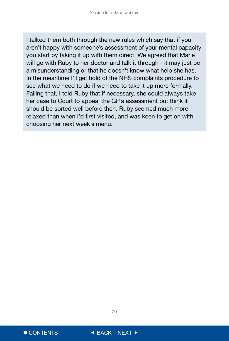I talked them both through the new rules which say that if you aren't happy with someone's assessment of your mental capacity you start by taking it up with them direct. We agreed that Marie will go with Ruby to her doctor and talk it through - it may just be a misunderstanding or that he doesn't know what help she has. In the meantime I'll get hold of the NHS complaints procedure to see what we need to do if we need to take it up more formally. Failing that, I told Ruby that if necessary, she could always take her case to Court to appeal the GP's assessment but think it should be sorted well before then. Ruby seemed much more relaxed than when I'd first visited, and was keen to get on with choosing her next week's menu.

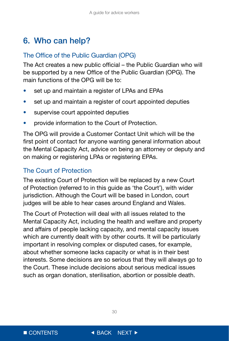## <span id="page-30-0"></span>6. Who can help?

### The Office of the Public Guardian (OPG)

The Act creates a new public official – the Public Guardian who will be supported by a new Office of the Public Guardian (OPG). The main functions of the OPG will be to:

- set up and maintain a register of LPAs and EPAs
- set up and maintain a register of court appointed deputies
- supervise court appointed deputies
- provide information to the Court of Protection.

The OPG will provide a Customer Contact Unit which will be the first point of contact for anyone wanting general information about the Mental Capacity Act, advice on being an attorney or deputy and on making or registering LPAs or registering EPAs.

## The Court of Protection

The existing Court of Protection will be replaced by a new Court of Protection (referred to in this guide as 'the Court'), with wider jurisdiction. Although the Court will be based in London, court judges will be able to hear cases around England and Wales.

The Court of Protection will deal with all issues related to the Mental Capacity Act, including the health and welfare and property and affairs of people lacking capacity, and mental capacity issues which are currently dealt with by other courts. It will be particularly important in resolving complex or disputed cases, for example, about whether someone lacks capacity or what is in their best interests. Some decisions are so serious that they will always go to the Court. These include decisions about serious medical issues such as organ donation, sterilisation, abortion or possible death.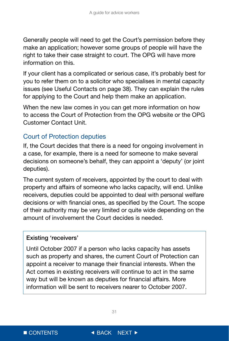<span id="page-31-0"></span>Generally people will need to get the Court's permission before they make an application; however some groups of people will have the right to take their case straight to court. The OPG will have more information on this.

If your client has a complicated or serious case, it's probably best for you to refer them on to a solicitor who specialises in mental capacity issues (see Useful Contacts on page 38). They can explain the rules for applying to the Court and help them make an application.

When the new law comes in you can get more information on how to access the Court of Protection from the OPG website or the OPG Customer Contact Unit.

## Court of Protection deputies

If, the Court decides that there is a need for ongoing involvement in a case, for example, there is a need for someone to make several decisions on someone's behalf, they can appoint a 'deputy' (or joint deputies).

The current system of receivers, appointed by the court to deal with property and affairs of someone who lacks capacity, will end. Unlike receivers, deputies could be appointed to deal with personal welfare decisions or with financial ones, as specified by the Court. The scope of their authority may be very limited or quite wide depending on the amount of involvement the Court decides is needed.

#### Existing 'receivers'

Until October 2007 if a person who lacks capacity has assets such as property and shares, the current Court of Protection can appoint a receiver to manage their financial interests. When the Act comes in existing receivers will continue to act in the same way but will be known as deputies for financial affairs. More information will be sent to receivers nearer to October 2007.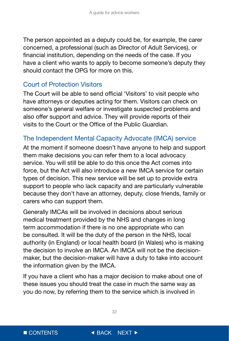<span id="page-32-0"></span>The person appointed as a deputy could be, for example, the carer concerned, a professional (such as Director of Adult Services), or financial institution, depending on the needs of the case. If you have a client who wants to apply to become someone's deputy they should contact the OPG for more on this.

### Court of Protection Visitors

The Court will be able to send official 'Visitors' to visit people who have attorneys or deputies acting for them. Visitors can check on someone's general welfare or investigate suspected problems and also offer support and advice. They will provide reports of their visits to the Court or the Office of the Public Guardian.

### The Independent Mental Capacity Advocate (IMCA) service

At the moment if someone doesn't have anyone to help and support them make decisions you can refer them to a local advocacy service. You will still be able to do this once the Act comes into force, but the Act will also introduce a new IMCA service for certain types of decision. This new service will be set up to provide extra support to people who lack capacity and are particularly vulnerable because they don't have an attorney, deputy, close friends, family or carers who can support them.

Generally IMCAs will be involved in decisions about serious medical treatment provided by the NHS and changes in long term accommodation if there is no one appropriate who can be consulted. It will be the duty of the person in the NHS, local authority (in England) or local health board (in Wales) who is making the decision to involve an IMCA. An IMCA will not be the decisionmaker, but the decision-maker will have a duty to take into account the information given by the IMCA.

If you have a client who has a major decision to make about one of these issues you should treat the case in much the same way as you do now, by referring them to the service which is involved in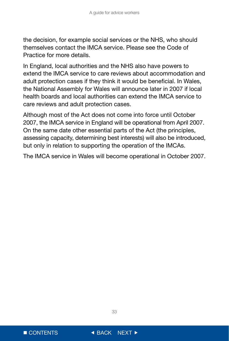the decision, for example social services or the NHS, who should themselves contact the IMCA service. Please see the Code of Practice for more details.

In England, local authorities and the NHS also have powers to extend the IMCA service to care reviews about accommodation and adult protection cases if they think it would be beneficial. In Wales, the National Assembly for Wales will announce later in 2007 if local health boards and local authorities can extend the IMCA service to care reviews and adult protection cases.

Although most of the Act does not come into force until October 2007, the IMCA service in England will be operational from April 2007. On the same date other essential parts of the Act (the principles, assessing capacity, determining best interests) will also be introduced, but only in relation to supporting the operation of the IMCAs.

The IMCA service in Wales will become operational in October 2007.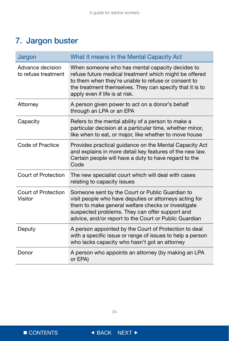## <span id="page-34-0"></span>7. Jargon buster

| Jargon                                  | What it means in the Mental Capacity Act                                                                                                                                                                                                                                   |  |
|-----------------------------------------|----------------------------------------------------------------------------------------------------------------------------------------------------------------------------------------------------------------------------------------------------------------------------|--|
| Advance decision<br>to refuse treatment | When someone who has mental capacity decides to<br>refuse future medical treatment which might be offered<br>to them when they're unable to refuse or consent to<br>the treatment themselves. They can specify that it is to<br>apply even if life is at risk.             |  |
| Attorney                                | A person given power to act on a donor's behalf<br>through an LPA or an EPA                                                                                                                                                                                                |  |
| Capacity                                | Refers to the mental ability of a person to make a<br>particular decision at a particular time, whether minor,<br>like when to eat, or major, like whether to move house                                                                                                   |  |
| Code of Practice                        | Provides practical guidance on the Mental Capacity Act<br>and explains in more detail key features of the new law.<br>Certain people will have a duty to have regard to the<br>Code                                                                                        |  |
| Court of Protection                     | The new specialist court which will deal with cases<br>relating to capacity issues                                                                                                                                                                                         |  |
| Court of Protection<br>Visitor          | Someone sent by the Court or Public Guardian to<br>visit people who have deputies or attorneys acting for<br>them to make general welfare checks or investigate<br>suspected problems. They can offer support and<br>advice, and/or report to the Court or Public Guardian |  |
| Deputy                                  | A person appointed by the Court of Protection to deal<br>with a specific issue or range of issues to help a person<br>who lacks capacity who hasn't got an attorney                                                                                                        |  |
| Donor                                   | A person who appoints an attorney (by making an LPA<br>or EPA)                                                                                                                                                                                                             |  |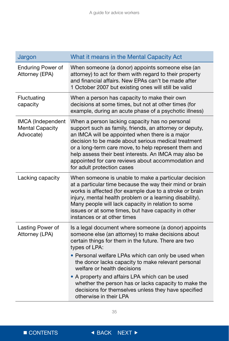| Jargon                                                   | What it means in the Mental Capacity Act                                                                                                                                                                                                                                                                                                                                                                                                                                                                                   |
|----------------------------------------------------------|----------------------------------------------------------------------------------------------------------------------------------------------------------------------------------------------------------------------------------------------------------------------------------------------------------------------------------------------------------------------------------------------------------------------------------------------------------------------------------------------------------------------------|
| <b>Enduring Power of</b><br>Attorney (EPA)               | When someone (a donor) appoints someone else (an<br>attorney) to act for them with regard to their property<br>and financial affairs. New EPAs can't be made after<br>1 October 2007 but existing ones will still be valid                                                                                                                                                                                                                                                                                                 |
| Fluctuating<br>capacity                                  | When a person has capacity to make their own<br>decisions at some times, but not at other times (for<br>example, during an acute phase of a psychotic illness)                                                                                                                                                                                                                                                                                                                                                             |
| IMCA (Independent<br><b>Mental Capacity</b><br>Advocate) | When a person lacking capacity has no personal<br>support such as family, friends, an attorney or deputy,<br>an IMCA will be appointed when there is a major<br>decision to be made about serious medical treatment<br>or a long-term care move, to help represent them and<br>help assess their best interests. An IMCA may also be<br>appointed for care reviews about accommodation and<br>for adult protection cases                                                                                                   |
| Lacking capacity                                         | When someone is unable to make a particular decision<br>at a particular time because the way their mind or brain<br>works is affected (for example due to a stroke or brain<br>injury, mental health problem or a learning disability).<br>Many people will lack capacity in relation to some<br>issues or at some times, but have capacity in other<br>instances or at other times                                                                                                                                        |
| Lasting Power of<br>Attorney (LPA)                       | Is a legal document where someone (a donor) appoints<br>someone else (an attorney) to make decisions about<br>certain things for them in the future. There are two<br>types of LPA:<br>• Personal welfare LPAs which can only be used when<br>the donor lacks capacity to make relevant personal<br>welfare or health decisions<br>• A property and affairs LPA which can be used<br>whether the person has or lacks capacity to make the<br>decisions for themselves unless they have specified<br>otherwise in their LPA |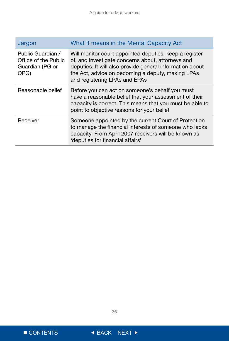| Jargon                                                               | What it means in the Mental Capacity Act                                                                                                                                                                                                                      |
|----------------------------------------------------------------------|---------------------------------------------------------------------------------------------------------------------------------------------------------------------------------------------------------------------------------------------------------------|
| Public Guardian /<br>Office of the Public<br>Guardian (PG or<br>OPG) | Will monitor court appointed deputies, keep a register<br>of, and investigate concerns about, attorneys and<br>deputies. It will also provide general information about<br>the Act, advice on becoming a deputy, making LPAs<br>and registering LPAs and EPAs |
| Reasonable belief                                                    | Before you can act on someone's behalf you must<br>have a reasonable belief that your assessment of their<br>capacity is correct. This means that you must be able to<br>point to objective reasons for your belief                                           |
| Receiver                                                             | Someone appointed by the current Court of Protection<br>to manage the financial interests of someone who lacks<br>capacity. From April 2007 receivers will be known as<br>'deputies for financial affairs'                                                    |

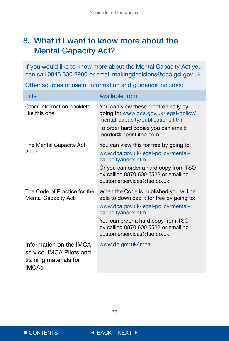## <span id="page-37-0"></span>8. What if I want to know more about the Mental Capacity Act?

If you would like to know more about the Mental Capacity Act you can call 0845 330 2900 or email makingdecisions@dca.gsi.gov.uk

Other sources of useful information and guidance includes:

| <b>Title</b>                                                                                  | <b>Available from</b>                                                                                                      |  |
|-----------------------------------------------------------------------------------------------|----------------------------------------------------------------------------------------------------------------------------|--|
| Other information booklets<br>like this one                                                   | You can view these electronically by<br>going to: www.dca.gov.uk/legal-policy/<br>mental-capacity/publications.htm         |  |
|                                                                                               | To order hard copies you can email:<br>reorder@inprintlitho.com                                                            |  |
| The Mental Capacity Act<br>2005                                                               | You can view this for free by going to:<br>www.dca.gov.uk/legal-policy/mental-<br>capacity/index.htm                       |  |
|                                                                                               | Or you can order a hard copy from TSO<br>by calling 0870 600 5522 or emailing<br>customerservices@tso.co.uk                |  |
| The Code of Practice for the<br><b>Mental Capacity Act</b>                                    | When the Code is published you will be<br>able to download it for free by going to:<br>www.dca.gov.uk/legal-policy/mental- |  |
|                                                                                               | capacity/index.htm                                                                                                         |  |
|                                                                                               | You can order a hard copy from TSO<br>by calling 0870 600 5522 or emailing<br>customerservices@tso.co.uk.                  |  |
| Information on the IMCA<br>service, IMCA Pilots and<br>training materials for<br><b>IMCAs</b> | www.dh.gov.uk/imca                                                                                                         |  |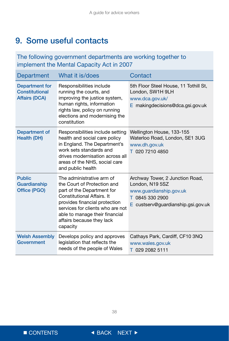## <span id="page-38-0"></span>9. Some useful contacts

### The following government departments are working together to implement the Mental Capacity Act in 2007

| <b>Department</b>                                        | What it is/does                                                                                                                                                                                                                                                      | Contact                                                                                                                                |
|----------------------------------------------------------|----------------------------------------------------------------------------------------------------------------------------------------------------------------------------------------------------------------------------------------------------------------------|----------------------------------------------------------------------------------------------------------------------------------------|
| Department for<br>Constitutional<br><b>Affairs (DCA)</b> | Responsibilities include<br>running the courts, and<br>improving the justice system,<br>human rights, information<br>rights law, policy on running<br>elections and modernising the<br>constitution                                                                  | 5th Floor Steel House, 11 Tothill St,<br>London, SW1H 9LH<br>www.dca.gov.uk/<br>E making decisions@dca.gsi.gov.uk                      |
| Department of<br><b>Health (DH)</b>                      | Responsibilities include setting<br>health and social care policy<br>in England. The Department's<br>work sets standards and<br>drives modernisation across all<br>areas of the NHS, social care<br>and public health                                                | Wellington House, 133-155<br>Waterloo Road, London, SE1 3UG<br>www.dh.gov.uk<br>T 020 7210 4850                                        |
| <b>Public</b><br>Guardianship<br>Office (PGO)            | The administrative arm of<br>the Court of Protection and<br>part of the Department for<br>Constitutional Affairs. It<br>provides financial protection<br>services for clients who are not<br>able to manage their financial<br>affairs because they lack<br>capacity | Archway Tower, 2 Junction Road,<br>London, N19 5SZ<br>www.guardianship.gov.uk<br>T 0845 330 2900<br>E custserv@guardianship.gsi.gov.uk |
| <b>Welsh Assembly</b><br>Government                      | Develops policy and approves<br>legislation that reflects the<br>needs of the people of Wales                                                                                                                                                                        | Cathays Park, Cardiff, CF10 3NQ<br>www.wales.gov.uk<br>T 029 2082 5111                                                                 |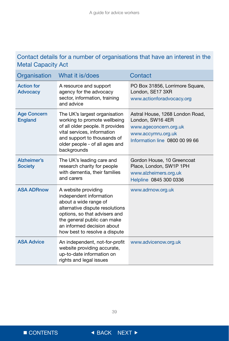## Contact details for a number of organisations that have an interest in the Metal Capacity Act

| Organisation                         | What it is/does                                                                                                                                                                                                                           | Contact                                                                                                                              |
|--------------------------------------|-------------------------------------------------------------------------------------------------------------------------------------------------------------------------------------------------------------------------------------------|--------------------------------------------------------------------------------------------------------------------------------------|
| <b>Action for</b><br><b>Advocacy</b> | A resource and support<br>agency for the advocacy<br>sector, information, training<br>and advice                                                                                                                                          | PO Box 31856, Lorrimore Square,<br>London, SE17 3XR<br>www.actionforadvocacy.org                                                     |
| <b>Age Concern</b><br><b>England</b> | The UK's largest organisation<br>working to promote wellbeing<br>of all older people. It provides<br>vital services, information<br>and support to thousands of<br>older people - of all ages and<br>backgrounds                          | Astral House, 1268 London Road,<br>London, SW16 4ER<br>www.ageconcern.org.uk<br>www.accymru.org.uk<br>Information line 0800 00 99 66 |
| Alzheimer's<br><b>Society</b>        | The UK's leading care and<br>research charity for people<br>with dementia, their families<br>and carers                                                                                                                                   | Gordon House, 10 Greencoat<br>Place, London, SW1P 1PH<br>www.alzheimers.org.uk<br>Helpline 0845 300 0336                             |
| <b>ASA ADRnow</b>                    | A website providing<br>independent information<br>about a wide range of<br>alternative dispute resolutions<br>options, so that advisers and<br>the general public can make<br>an informed decision about<br>how best to resolve a dispute | www.adrnow.org.uk                                                                                                                    |
| <b>ASA Advice</b>                    | An independent, not-for-profit<br>website providing accurate,<br>up-to-date information on<br>rights and legal issues                                                                                                                     | www.advicenow.org.uk                                                                                                                 |

 $\blacksquare$  CONTENTS  $\blacksquare$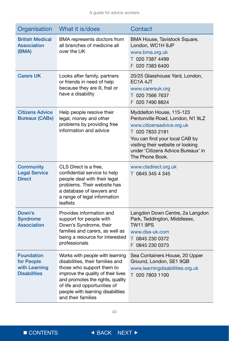| Organisation                                                            | What it is/does                                                                                                                                                                                                                                                       | Contact                                                                                                                                                                                                                                      |
|-------------------------------------------------------------------------|-----------------------------------------------------------------------------------------------------------------------------------------------------------------------------------------------------------------------------------------------------------------------|----------------------------------------------------------------------------------------------------------------------------------------------------------------------------------------------------------------------------------------------|
| <b>British Medical</b><br><b>Association</b><br>(BMA)                   | BMA represents doctors from<br>all branches of medicine all<br>over the UK                                                                                                                                                                                            | BMA House, Tavistock Square,<br>London, WC1H 9JP<br>www.bma.org.uk<br>T 020 7387 4499<br>F 020 7383 6400                                                                                                                                     |
| <b>Carers UK</b>                                                        | Looks after family, partners<br>or friends in need of help<br>because they are ill, frail or<br>have a disability                                                                                                                                                     | 20/25 Glasshouse Yard, London,<br>EC <sub>1</sub> A 4JT<br>www.carersuk.org<br>T 020 7566 7637<br>F 020 7490 8824                                                                                                                            |
| <b>Citizens Advice</b><br><b>Bureaux (CABx)</b>                         | Help people resolve their<br>legal, money and other<br>problems by providing free<br>information and advice                                                                                                                                                           | Myddelton House, 115-123<br>Pentonville Road, London, N1 9LZ<br>www.citizensadvice.org.uk<br>T 020 7833 2181<br>You can find your local CAB by<br>visiting their website or looking<br>under 'Citizens Advice Bureaux' in<br>The Phone Book. |
| <b>Community</b><br><b>Legal Service</b><br><b>Direct</b>               | CLS Direct is a free,<br>confidential service to help<br>people deal with their legal<br>problems. Their website has<br>a database of lawyers and<br>a range of legal information<br>leaflets                                                                         | www.clsdirect.org.uk<br>T 0845 345 4 345                                                                                                                                                                                                     |
| Down's<br><b>Syndrome</b><br>Association                                | Provides information and<br>support for people with<br>Down's Syndrome, their<br>families and carers, as well as<br>being a resource for interested<br>professionals                                                                                                  | Langdon Down Centre, 2a Langdon<br>Park, Teddington, Middlesex,<br><b>TW11 9PS</b><br>www.dsa-uk.com<br>T 0845 230 0372<br>F 0845 230 0373                                                                                                   |
| <b>Foundation</b><br>for People<br>with Learning<br><b>Disabilities</b> | Works with people with learning<br>disabilities, their families and<br>those who support them to<br>improve the quality of their lives<br>and promotes the rights, quality<br>of life and opportunities of<br>people with learning disabilities<br>and their families | Sea Containers House, 20 Upper<br>Ground, London, SE1 9QB<br>www.learningdisabilities.org.uk<br>T 020 7803 1100                                                                                                                              |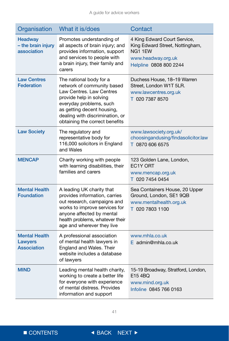| Organisation                                          | What it is/does                                                                                                                                                                                                                            | Contact                                                                                                                   |
|-------------------------------------------------------|--------------------------------------------------------------------------------------------------------------------------------------------------------------------------------------------------------------------------------------------|---------------------------------------------------------------------------------------------------------------------------|
| <b>Headway</b><br>- the brain injury<br>association   | Promotes understanding of<br>all aspects of brain injury; and<br>provides information, support<br>and services to people with<br>a brain injury, their family and<br>carers                                                                | 4 King Edward Court Service,<br>King Edward Street, Nottingham,<br>NG11EW<br>www.headway.org.uk<br>Helpline 0808 800 2244 |
| <b>Law Centres</b><br><b>Federation</b>               | The national body for a<br>network of community based<br>Law Centres, Law Centres<br>provide help in solving<br>everyday problems, such<br>as getting decent housing,<br>dealing with discrimination, or<br>obtaining the correct benefits | Duchess House, 18-19 Warren<br>Street, London W1T 5LR.<br>www.lawcentres.org.uk<br>T 020 7387 8570                        |
| <b>Law Society</b>                                    | The regulatory and<br>representative body for<br>116,000 solicitors in England<br>and Wales                                                                                                                                                | www.lawsociety.org.uk/<br>choosingandusing/findasolicitor.law<br>T 0870 606 6575                                          |
| <b>MENCAP</b>                                         | Charity working with people<br>with learning disabilities, their<br>families and carers                                                                                                                                                    | 123 Golden Lane, London,<br>EC1Y ORT<br>www.mencap.org.uk<br>T 020 7454 0454                                              |
| <b>Mental Health</b><br><b>Foundation</b>             | A leading UK charity that<br>provides information, carries<br>out research, campaigns and<br>works to improve services for<br>anyone affected by mental<br>health problems, whatever their<br>age and wherever they live                   | Sea Containers House, 20 Upper<br>Ground, London, SE1 9QB<br>www.mentalhealth.org.uk<br>T 020 7803 1100                   |
| <b>Mental Health</b><br>Lawyers<br><b>Association</b> | A professional association<br>of mental health lawyers in<br>England and Wales. Their<br>website includes a database<br>of lawyers                                                                                                         | www.mhla.co.uk<br>$E$ admin@mhla.co.uk                                                                                    |
| <b>MIND</b>                                           | Leading mental health charity,<br>working to create a better life<br>for everyone with experience<br>of mental distress. Provides<br>information and support                                                                               | 15-19 Broadway, Stratford, London,<br>E154BQ<br>www.mind.org.uk<br>Infoline 0845 766 0163                                 |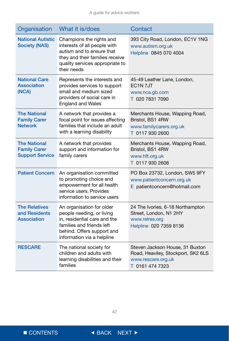| Organisation                                                         | What it is/does                                                                                                                                                                 | Contact                                                                                                        |
|----------------------------------------------------------------------|---------------------------------------------------------------------------------------------------------------------------------------------------------------------------------|----------------------------------------------------------------------------------------------------------------|
| <b>National Autistic</b><br><b>Society (NAS)</b>                     | Champions the rights and<br>interests of all people with<br>autism and to ensure that<br>they and their families receive<br>quality services appropriate to<br>their needs      | 393 City Road, London, EC1V 1NG<br>www.autism.org.uk<br>Helpline 0845 070 4004                                 |
| <b>National Care</b><br><b>Association</b><br>(NCA)                  | Represents the interests and<br>provides services to support<br>small and medium sized<br>providers of social care in<br><b>England and Wales</b>                               | 45-49 Leather Lane, London,<br>EC <sub>1</sub> N <sub>7J</sub> T<br>www.nca.gb.com<br>T 020 7831 7090          |
| <b>The National</b><br><b>Family Carer</b><br><b>Network</b>         | A network that provides a<br>focal point for issues affecting<br>families that include an adult<br>with a learning disability                                                   | Merchants House, Wapping Road,<br>Bristol, BS1 4RW<br>www.familycarers.org.uk<br>T 0117 930 2600               |
| <b>The National</b><br><b>Family Carer</b><br><b>Support Service</b> | A network that provides<br>support and information for<br>family carers                                                                                                         | Merchants House, Wapping Road,<br>Bristol, BS1 4RW<br>www.hft.org.uk<br>T 0117 930 2608                        |
| <b>Patient Concern</b>                                               | An organisation committed<br>to promoting choice and<br>empowerment for all health<br>service users. Provides<br>information to service users                                   | PO Box 23732, London, SW5 9FY<br>www.patientconcern.org.uk<br>E patientconcern@hotmail.com                     |
| <b>The Relatives</b><br>and Residents<br><b>Association</b>          | An organisation for older<br>people needing, or living<br>in, residential care and the<br>families and friends left<br>behind. Offers support and<br>information via a helpline | 24 The Ivories, 6-18 Northampton<br>Street, London, N1 2HY<br>www.relres.org<br>Helpline 020 7359 8136         |
| <b>RESCARE</b>                                                       | The national society for<br>children and adults with<br>learning disabilities and their<br>families                                                                             | Steven Jackson House, 31 Buxton<br>Road, Heaviley, Stockport, SK2 6LS<br>www.rescare.org.uk<br>T 0161 474 7323 |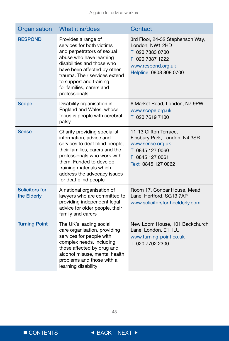| Organisation                  | What it is/does                                                                                                                                                                                                                                                                 | Contact                                                                                                                                   |
|-------------------------------|---------------------------------------------------------------------------------------------------------------------------------------------------------------------------------------------------------------------------------------------------------------------------------|-------------------------------------------------------------------------------------------------------------------------------------------|
| <b>RESPOND</b>                | Provides a range of<br>services for both victims<br>and perpetrators of sexual<br>abuse who have learning<br>disabilities and those who<br>have been affected by other<br>trauma. Their services extend<br>to support and training<br>for families, carers and<br>professionals | 3rd Floor, 24-32 Stephenson Way,<br>London, NW1 2HD<br>T 020 7383 0700<br>F 020 7387 1222<br>www.respond.org.uk<br>Helpline 0808 808 0700 |
| <b>Scope</b>                  | Disability organisation in<br>England and Wales, whose<br>focus is people with cerebral<br>palsy                                                                                                                                                                                | 6 Market Road, London, N7 9PW<br>www.scope.org.uk<br>T 020 7619 7100                                                                      |
| <b>Sense</b>                  | Charity providing specialist<br>information, advice and<br>services to deaf blind people,<br>their families, carers and the<br>professionals who work with<br>them. Funded to develop<br>training materials which<br>address the advocacy issues<br>for deaf blind people       | 11-13 Clifton Terrace,<br>Finsbury Park, London, N4 3SR<br>www.sense.org.uk<br>T 0845 127 0060<br>F 0845 127 0061<br>Text 0845 127 0062   |
| Solicitors for<br>the Elderly | A national organisation of<br>lawyers who are committed to<br>providing independent legal<br>advice for older people, their<br>family and carers                                                                                                                                | Room 17, Conbar House, Mead<br>Lane, Hertford, SG13 7AP<br>www.solicitorsfortheelderly.com                                                |
| <b>Turning Point</b>          | The UK's leading social<br>care organisation, providing<br>services for people with<br>complex needs, including<br>those affected by drug and<br>alcohol misuse, mental health<br>problems and those with a<br>learning disability                                              | New Loom House, 101 Backchurch<br>Lane, London, E1 1LU<br>www.turning-point.co.uk<br>T 020 7702 2300                                      |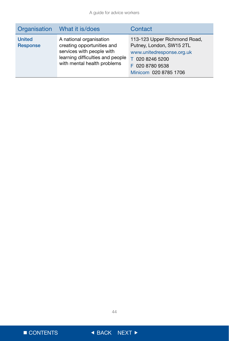|                                  | Organisation What it is/does                                                                                                                          | Contact                                                                                                                                              |
|----------------------------------|-------------------------------------------------------------------------------------------------------------------------------------------------------|------------------------------------------------------------------------------------------------------------------------------------------------------|
| <b>United</b><br><b>Response</b> | A national organisation<br>creating opportunities and<br>services with people with<br>learning difficulties and people<br>with mental health problems | 113-123 Upper Richmond Road,<br>Putney, London, SW15 2TL<br>www.unitedresponse.org.uk<br>T 020 8246 5200<br>F 020 8780 9538<br>Minicom 020 8785 1706 |

■ CONTENTS ● BACK NEXT ▶